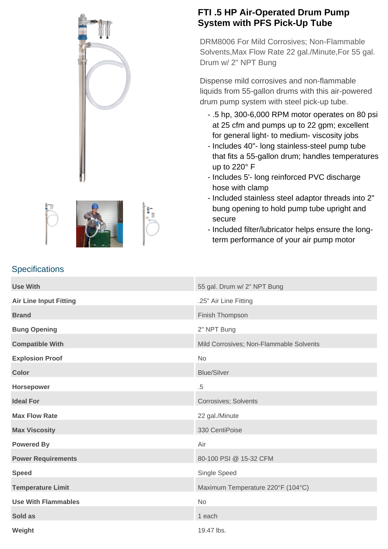



## **FTI .5 HP Air-Operated Drum Pump System with PFS Pick-Up Tube**

DRM8006 For Mild Corrosives; Non-Flammable Solvents,Max Flow Rate 22 gal./Minute,For 55 gal. Drum w/ 2" NPT Bung

Dispense mild corrosives and non-flammable liquids from 55-gallon drums with this air-powered drum pump system with steel pick-up tube.

- .5 hp, 300-6,000 RPM motor operates on 80 psi at 25 cfm and pumps up to 22 gpm; excellent for general light- to medium- viscosity jobs
- Includes 40"- long stainless-steel pump tube that fits a 55-gallon drum; handles temperatures up to 220° F
- Includes 5'- long reinforced PVC discharge hose with clamp
- Included stainless steel adaptor threads into 2" bung opening to hold pump tube upright and secure
- Included filter/lubricator helps ensure the longterm performance of your air pump motor

| <b>Use With</b>               | 55 gal. Drum w/ 2" NPT Bung             |
|-------------------------------|-----------------------------------------|
| <b>Air Line Input Fitting</b> | .25" Air Line Fitting                   |
| <b>Brand</b>                  | Finish Thompson                         |
| <b>Bung Opening</b>           | 2" NPT Bung                             |
| <b>Compatible With</b>        | Mild Corrosives; Non-Flammable Solvents |
| <b>Explosion Proof</b>        | <b>No</b>                               |
| <b>Color</b>                  | <b>Blue/Silver</b>                      |
| Horsepower                    | $.5\,$                                  |
| <b>Ideal For</b>              | <b>Corrosives; Solvents</b>             |
| <b>Max Flow Rate</b>          | 22 gal./Minute                          |
| <b>Max Viscosity</b>          | 330 CentiPoise                          |
| <b>Powered By</b>             | Air                                     |
| <b>Power Requirements</b>     | 80-100 PSI @ 15-32 CFM                  |
| <b>Speed</b>                  | Single Speed                            |
| <b>Temperature Limit</b>      | Maximum Temperature 220°F (104°C)       |
| <b>Use With Flammables</b>    | No                                      |
| Sold as                       | 1 each                                  |
| Weight                        | 19.47 lbs.                              |

## **Specifications**